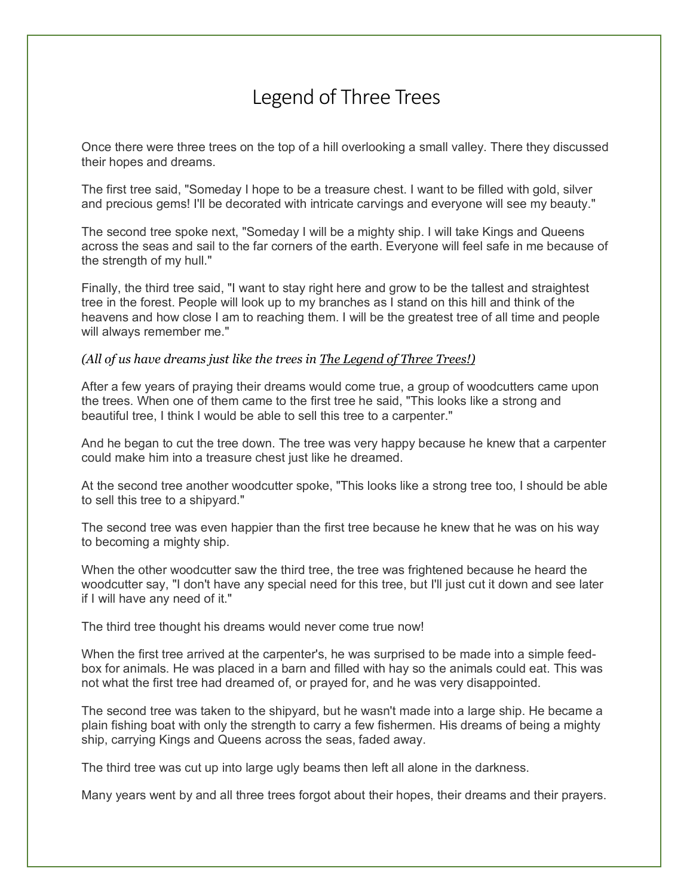## Legend of Three Trees

Once there were three trees on the top of a hill overlooking a small valley. There they discussed their hopes and dreams.

The first tree said, "Someday I hope to be a treasure chest. I want to be filled with gold, silver and precious gems! I'll be decorated with intricate carvings and everyone will see my beauty."

The second tree spoke next, "Someday I will be a mighty ship. I will take Kings and Queens across the seas and sail to the far corners of the earth. Everyone will feel safe in me because of the strength of my hull."

Finally, the third tree said, "I want to stay right here and grow to be the tallest and straightest tree in the forest. People will look up to my branches as I stand on this hill and think of the heavens and how close I am to reaching them. I will be the greatest tree of all time and people will always remember me."

## *(All of us have dreams just like the trees in The Legend of Three Trees!)*

After a few years of praying their dreams would come true, a group of woodcutters came upon the trees. When one of them came to the first tree he said, "This looks like a strong and beautiful tree, I think I would be able to sell this tree to a carpenter."

And he began to cut the tree down. The tree was very happy because he knew that a carpenter could make him into a treasure chest just like he dreamed.

At the second tree another woodcutter spoke, "This looks like a strong tree too, I should be able to sell this tree to a shipyard."

The second tree was even happier than the first tree because he knew that he was on his way to becoming a mighty ship.

When the other woodcutter saw the third tree, the tree was frightened because he heard the woodcutter say, "I don't have any special need for this tree, but I'll just cut it down and see later if I will have any need of it."

The third tree thought his dreams would never come true now!

When the first tree arrived at the carpenter's, he was surprised to be made into a simple feedbox for animals. He was placed in a barn and filled with hay so the animals could eat. This was not what the first tree had dreamed of, or prayed for, and he was very disappointed.

The second tree was taken to the shipyard, but he wasn't made into a large ship. He became a plain fishing boat with only the strength to carry a few fishermen. His dreams of being a mighty ship, carrying Kings and Queens across the seas, faded away.

The third tree was cut up into large ugly beams then left all alone in the darkness.

Many years went by and all three trees forgot about their hopes, their dreams and their prayers.